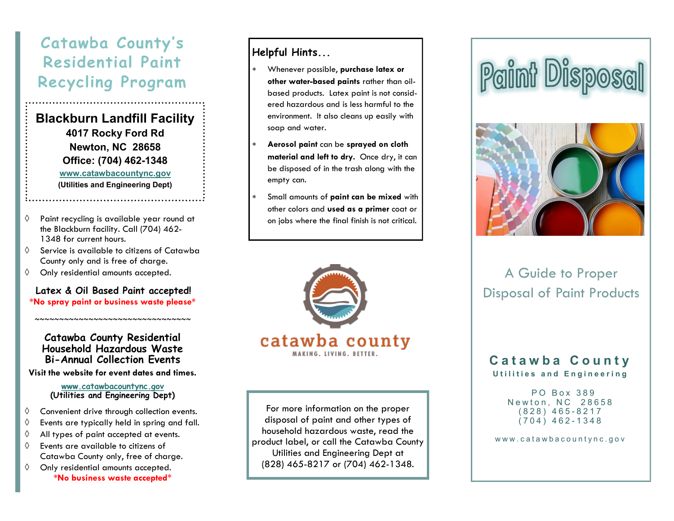## **Catawba County' s Residential Paint Recycling Program**

**Blackburn Landfill Facility 4017 Rocky Ford Rd Newton, NC 28658 Office: (704) 462-1348 www.catawbacountync.gov (Utilities and Engineering Dept)**

- $\Diamond$  Paint recycling is available year round at the Blackburn facility. Call (704) 462- 1348 for current hours.
- $\Diamond$  Service is available to citizens of Catawba County only and is free of charge.
- $\Diamond$  Only residential amounts accepted.

**Latex & Oil Based Paint accepted! \*No spray paint or business waste please\***

#### **Catawba County Residential Household Hazardous Waste Bi-Annual Collection Events**

~~~~~~~~~~~~~~~~~~~~~~~~~~~~~~~~

**Visit the website for event dates and times.**

**www.catawbacountync.gov (Utilities and Engineering Dept)**

- $\Diamond$  Convenient drive through collection events.
- $\Diamond$  Events are typically held in spring and fall.
- All types of paint accepted at events.
- Events are available to citizens of Catawba County only, free of charge.
- $\Diamond$  Only residential amounts accepted. **\*No business waste accepted**\*

#### **Helpful Hints...**

- Whenever possible, **purchase latex or other water-based paints** rather than oilbased products. Latex paint is not considered hazardous and is less harmful to the environment. It also cleans up easily with soap and water.
- **Aerosol paint** can be **sprayed on cloth material and left to dry.** Once dry, it can be disposed of in the trash along with the empty can.
- Small amounts of **paint can be mixed** with other colors and **used as a primer** coat or on jobs where the final finish is not critical.



For more information on the proper disposal of paint and other types of household hazardous waste, read the product label, or call the Catawba County Utilities and Engineering Dept at (828) 465-8217 or (704) 462-1348.

# Paint Disposal



### A Guide to Proper Disposal of Paint Products

#### **C a t a w b a C o u n t y** U tilities and Engineering

PO Box 389 Newton, NC 28658 ( 8 2 8 ) 4 6 5 - 8217 ( 7 0 4 ) 4 6 2 - 1348

www.catawbacountync.gov